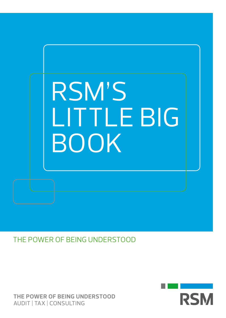

THE POWER OF BEING UNDERSTOOD

**THE POWER OF BEING UNDERSTOOD** AUDIT | TAX | CONSULTING

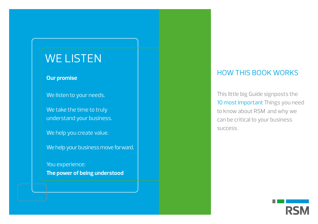# WE LISTEN

#### **Our promise**

We listen to your needs.

We take the time to truly understand your business.

We help you create value.

We help your business move forward.

You experience: **The power of being understood**

#### HOW THIS BOOK WORKS

This little big Guide signposts the 10 most Important Things you need to know about RSM and why we can be critical to your business success.

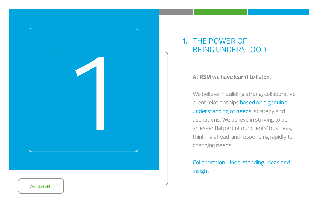

## **1.** THE POWER OF BEING UNDERSTOOD

#### **At RSM we have learnt to listen.**

We believe in building strong, collaborative client relationships based on a genuine understanding of needs, strategy and aspirations. We believe in striving to be an essential part of our clients' business, thinking ahead and responding rapidly to changing needs.

#### Collaboration. Understanding. Ideas and insight.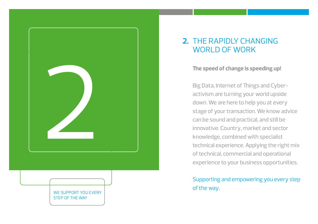

#### **2.** THE RAPIDLY CHANGING WORLD OF WORK

Big Data, Internet of Things and Cyberactivism are turning your world upside down. We are here to help you at every stage of your transaction. We know advice can be sound and practical, and still be innovative. Country, market and sector knowledge, combined with specialist technical experience. Applying the right mix of technical, commercial and operational experience to your business opportunities.

#### Supporting and empowering you every step of the way.

WE SUPPORT YOU EVERY STEP OF THE WAY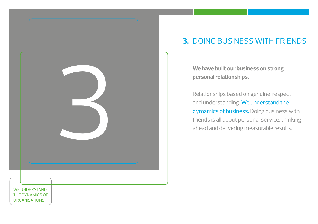

## **3. DOING BUSINESS WITH FRIENDS**

**We have built our business on strong personal relationships.** 

Relationships based on genuine respect and understanding. We understand the dymamics of business. Doing business with friends is all about personal service, thinking ahead and delivering measurable results.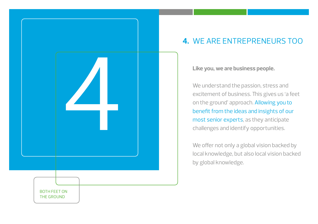

## **4.** WE ARE ENTREPRENEURS TOO

**Like you, we are business people.** 

We understand the passion, stress and excitement of business. This gives us 'a feet on the ground' approach. Allowing you to benefit from the ideas and insights of our most senior experts, as they anticipate challenges and identify opportunities.

We offer not only a global vision backed by local knowledge, but also local vision backed by global knowledge.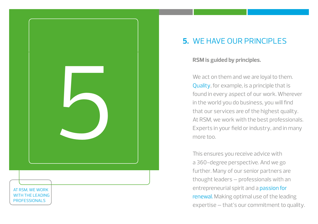

## WE HAVE OUR PRINCIPLES **5.**

#### **RSM is guided by principles.**

We act on them and we are loyal to them. Quality, for example, is a principle that is found in every aspect of our work. Wherever in the world you do business, you will find that our services are of the highest quality. At RSM, we work with the best professionals. Experts in your field or industry, and in many more too.

This ensures you receive advice with a 360-degree perspective. And we go further. Many of our senior partners are thought leaders – professionals with an entrepreneurial spirit and a passion for renewal. Making optimal use of the leading expertise – that's our commitment to quality.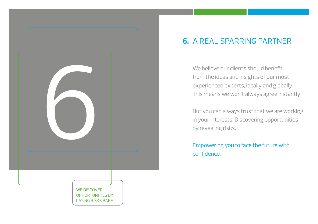

## **6.** A REAL SPARRING PARTNER

We believe our clients should benefit from the ideas and insights of our most experienced experts, locally and globally. This means we won't always agree instantly.

But you can always trust that we are working in your interests. Discovering opportunities by revealing risks.

Empowering you to face the future with confidence.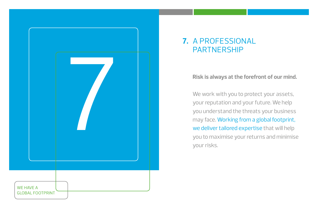

## A PROFESSIONAL **7.** PARTNERSHIP

#### **Risk is always at the forefront of our mind.**

We work with you to protect your assets, your reputation and your future. We help you understand the threats your business may face. Working from a global footprint, we deliver tailored expertise that will help you to maximise your returns and minimise your risks.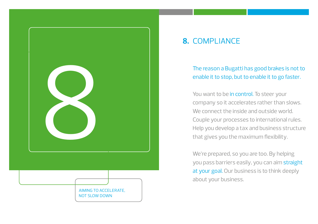

## 8. COMPLIANCE

The reason a Bugatti has good brakes is not to enable it to stop, but to enable it to go faster.

You want to be in control. To steer your company so it accelerates rather than slows. We connect the inside and outside world. Couple your processes to international rules. Help you develop a tax and business structure that gives you the maximum flexibility.

We're prepared, so you are too. By helping you pass barriers easily, you can aim straight at your goal. Our business is to think deeply about your business.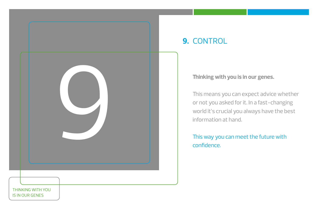

## **9.** CONTROL

#### **Thinking with you is in our genes.**

This means you can expect advice whether or not you asked for it. In a fast-changing world it's crucial you always have the best information at hand.

This way you can meet the future with confidence.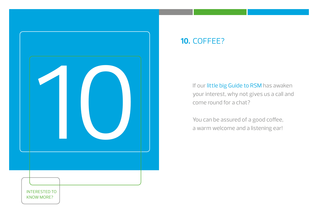

## **10.** COFFEE?

If our little big Guide to RSM has awaken your interest, why not gives us a call and come round for a chat?

You can be assured of a good coffee, a warm welcome and a listening ear!